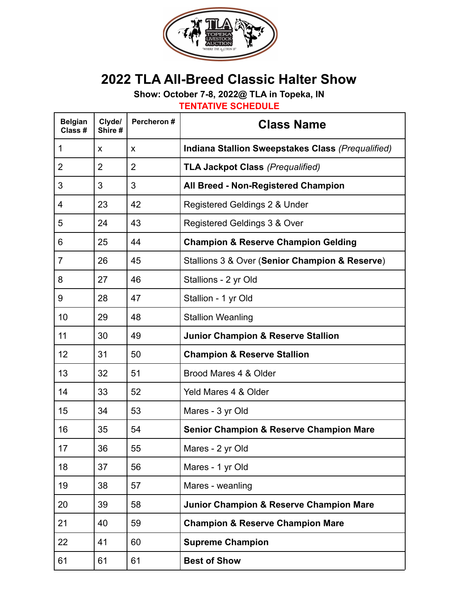

## **2022 TLA All-Breed Classic Halter Show**

**Show: October 7-8, 2022@ TLA in Topeka, IN**

**TENTATIVE SCHEDULE**

| <b>Belgian</b><br>Class # | Clyde/<br>Shire # | Percheron #    | <b>Class Name</b>                                  |  |
|---------------------------|-------------------|----------------|----------------------------------------------------|--|
| 1                         | X                 | X              | Indiana Stallion Sweepstakes Class (Prequalified)  |  |
| $\overline{2}$            | $\overline{2}$    | $\overline{2}$ | <b>TLA Jackpot Class (Prequalified)</b>            |  |
| 3                         | 3                 | 3              | All Breed - Non-Registered Champion                |  |
| 4                         | 23                | 42             | Registered Geldings 2 & Under                      |  |
| 5                         | 24                | 43             | Registered Geldings 3 & Over                       |  |
| 6                         | 25                | 44             | <b>Champion &amp; Reserve Champion Gelding</b>     |  |
| $\overline{7}$            | 26                | 45             | Stallions 3 & Over (Senior Champion & Reserve)     |  |
| 8                         | 27                | 46             | Stallions - 2 yr Old                               |  |
| 9                         | 28                | 47             | Stallion - 1 yr Old                                |  |
| 10                        | 29                | 48             | <b>Stallion Weanling</b>                           |  |
| 11                        | 30                | 49             | <b>Junior Champion &amp; Reserve Stallion</b>      |  |
| 12                        | 31                | 50             | <b>Champion &amp; Reserve Stallion</b>             |  |
| 13                        | 32                | 51             | Brood Mares 4 & Older                              |  |
| 14                        | 33                | 52             | Yeld Mares 4 & Older                               |  |
| 15                        | 34                | 53             | Mares - 3 yr Old                                   |  |
| 16                        | 35                | 54             | <b>Senior Champion &amp; Reserve Champion Mare</b> |  |
| 17                        | 36                | 55             | Mares - 2 yr Old                                   |  |
| 18                        | 37                | 56             | Mares - 1 yr Old                                   |  |
| 19                        | 38                | 57             | Mares - weanling                                   |  |
| 20                        | 39                | 58             | Junior Champion & Reserve Champion Mare            |  |
| 21                        | 40                | 59             | <b>Champion &amp; Reserve Champion Mare</b>        |  |
| 22                        | 41                | 60             | <b>Supreme Champion</b>                            |  |
| 61                        | 61                | 61             | <b>Best of Show</b>                                |  |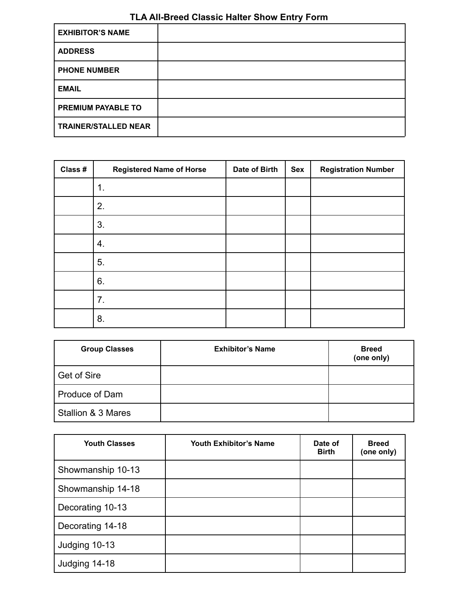## **TLA All-Breed Classic Halter Show Entry Form**

| <b>EXHIBITOR'S NAME</b>     |  |
|-----------------------------|--|
| <b>ADDRESS</b>              |  |
| <b>PHONE NUMBER</b>         |  |
| <b>EMAIL</b>                |  |
| <b>PREMIUM PAYABLE TO</b>   |  |
| <b>TRAINER/STALLED NEAR</b> |  |

| Class # | <b>Registered Name of Horse</b> | Date of Birth | Sex | <b>Registration Number</b> |
|---------|---------------------------------|---------------|-----|----------------------------|
|         | 1.                              |               |     |                            |
|         | 2.                              |               |     |                            |
|         | 3.                              |               |     |                            |
|         | 4.                              |               |     |                            |
|         | 5.                              |               |     |                            |
|         | 6.                              |               |     |                            |
|         | 7.                              |               |     |                            |
|         | 8.                              |               |     |                            |

| <b>Group Classes</b> | <b>Exhibitor's Name</b> | <b>Breed</b><br>(one only) |
|----------------------|-------------------------|----------------------------|
| Get of Sire          |                         |                            |
| Produce of Dam       |                         |                            |
| Stallion & 3 Mares   |                         |                            |

| <b>Youth Classes</b> | <b>Youth Exhibitor's Name</b> | Date of<br><b>Birth</b> | <b>Breed</b><br>(one only) |
|----------------------|-------------------------------|-------------------------|----------------------------|
| Showmanship 10-13    |                               |                         |                            |
| Showmanship 14-18    |                               |                         |                            |
| Decorating 10-13     |                               |                         |                            |
| Decorating 14-18     |                               |                         |                            |
| Judging 10-13        |                               |                         |                            |
| Judging 14-18        |                               |                         |                            |